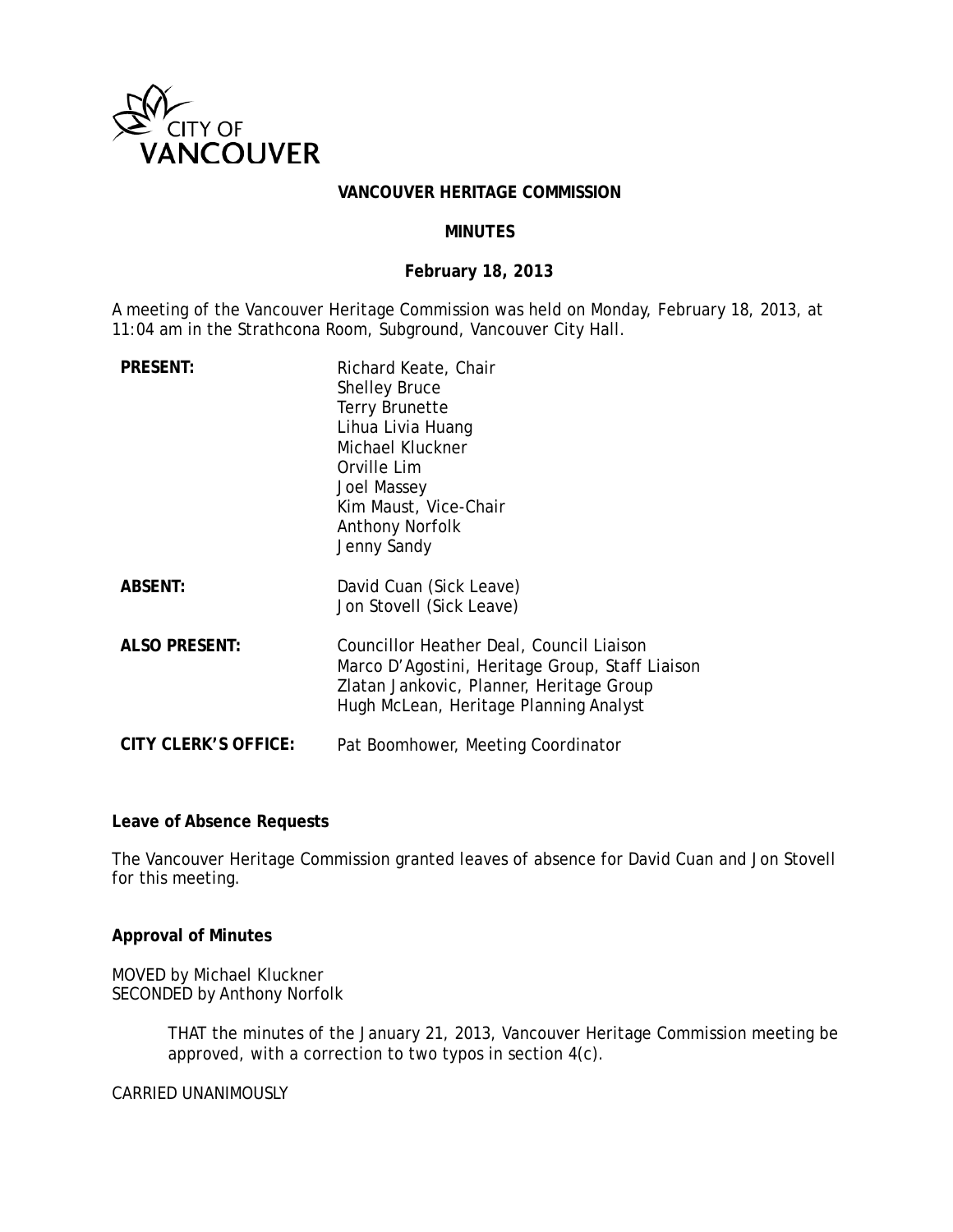

# **VANCOUVER HERITAGE COMMISSION**

## **MINUTES**

### **February 18, 2013**

A meeting of the Vancouver Heritage Commission was held on Monday, February 18, 2013, at 11:04 am in the Strathcona Room, Subground, Vancouver City Hall.

| <b>PRESENT:</b>      | Richard Keate, Chair<br><b>Shelley Bruce</b><br><b>Terry Brunette</b><br>Lihua Livia Huang<br>Michael Kluckner<br>Orville Lim<br>Joel Massey<br>Kim Maust, Vice-Chair<br><b>Anthony Norfolk</b><br>Jenny Sandy |
|----------------------|----------------------------------------------------------------------------------------------------------------------------------------------------------------------------------------------------------------|
| <b>ABSENT:</b>       | David Cuan (Sick Leave)<br>Jon Stovell (Sick Leave)                                                                                                                                                            |
| <b>ALSO PRESENT:</b> | Councillor Heather Deal, Council Liaison<br>Marco D'Agostini, Heritage Group, Staff Liaison<br>Zlatan Jankovic, Planner, Heritage Group<br>Hugh McLean, Heritage Planning Analyst                              |
| CITY CLERK'S OFFICE: | Pat Boomhower, Meeting Coordinator                                                                                                                                                                             |

# **Leave of Absence Requests**

The Vancouver Heritage Commission granted leaves of absence for David Cuan and Jon Stovell for this meeting.

#### **Approval of Minutes**

MOVED by Michael Kluckner SECONDED by Anthony Norfolk

> THAT the minutes of the January 21, 2013, Vancouver Heritage Commission meeting be approved, with a correction to two typos in section 4(c).

CARRIED UNANIMOUSLY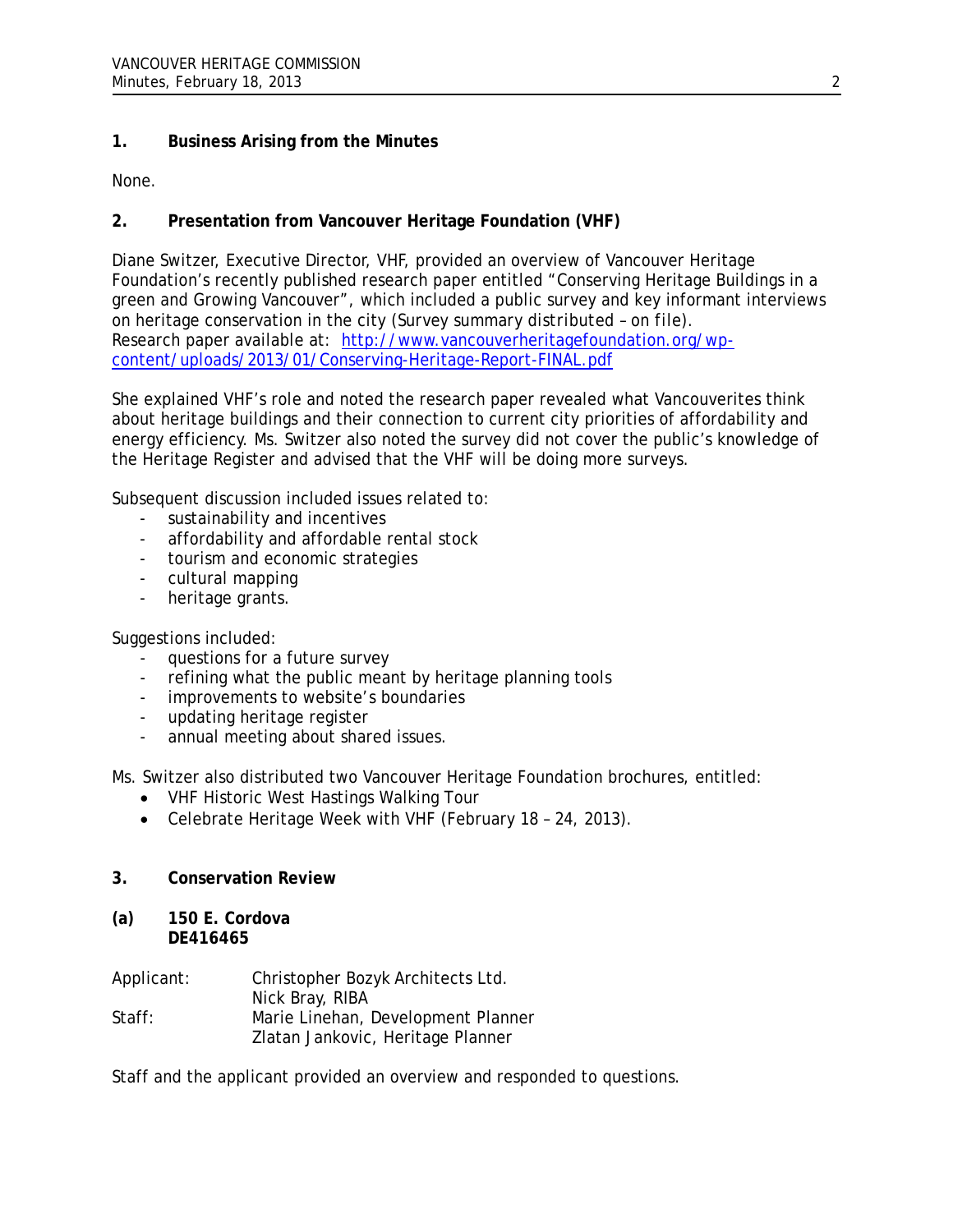# **1. Business Arising from the Minutes**

None.

# **2. Presentation from Vancouver Heritage Foundation (VHF)**

Diane Switzer, Executive Director, VHF, provided an overview of Vancouver Heritage Foundation's recently published research paper entitled "Conserving Heritage Buildings in a green and Growing Vancouver", which included a public survey and key informant interviews on heritage conservation in the city *(Survey summary distributed – on file).* Research paper available at: [http://www.vancouverheritagefoundation.org/wp](http://www.vancouverheritagefoundation.org/wp-content/uploads/2013/01/Conserving-Heritage-Report-FINAL.pdf)[content/uploads/2013/01/Conserving-Heritage-Report-FINAL.pdf](http://www.vancouverheritagefoundation.org/wp-content/uploads/2013/01/Conserving-Heritage-Report-FINAL.pdf)

She explained VHF's role and noted the research paper revealed what Vancouverites think about heritage buildings and their connection to current city priorities of affordability and energy efficiency. Ms. Switzer also noted the survey did not cover the public's knowledge of the Heritage Register and advised that the VHF will be doing more surveys.

Subsequent discussion included issues related to:

- sustainability and incentives
- affordability and affordable rental stock
- tourism and economic strategies
- cultural mapping
- heritage grants.

Suggestions included:

- questions for a future survey
- refining what the public meant by heritage planning tools
- improvements to website's boundaries
- updating heritage register
- annual meeting about shared issues.

Ms. Switzer also distributed two Vancouver Heritage Foundation brochures, entitled:

- VHF Historic West Hastings Walking Tour
- Celebrate Heritage Week with VHF (February 18 24, 2013).

# **3. Conservation Review**

# **(a) 150 E. Cordova DE416465**

| Applicant: | Christopher Bozyk Architects Ltd.  |
|------------|------------------------------------|
|            | Nick Bray, RIBA                    |
| Staff:     | Marie Linehan, Development Planner |
|            | Zlatan Jankovic, Heritage Planner  |

Staff and the applicant provided an overview and responded to questions.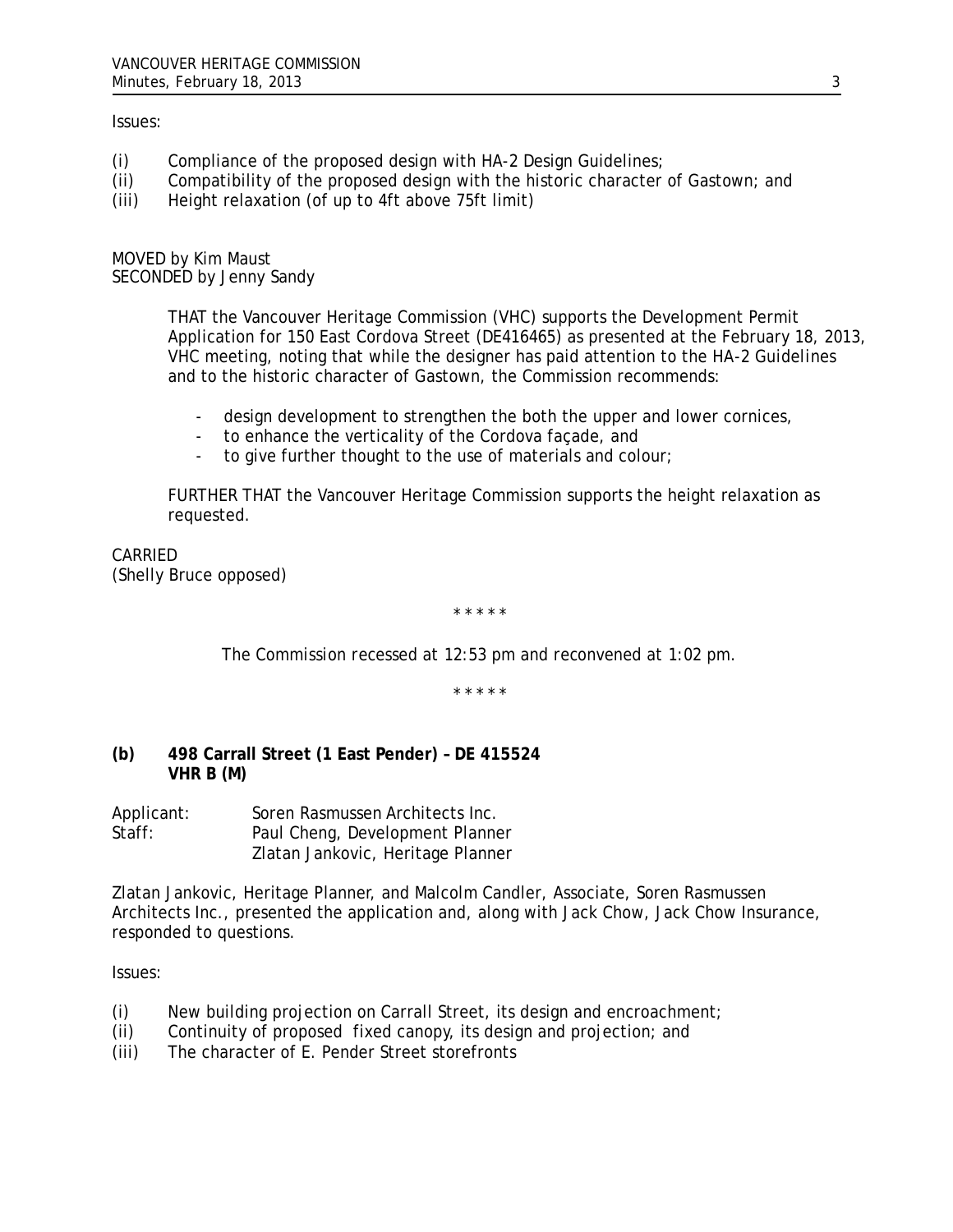#### Issues:

- (i) Compliance of the proposed design with HA-2 Design Guidelines;
- (ii) Compatibility of the proposed design with the historic character of Gastown; and
- (iii) Height relaxation (of up to 4ft above 75ft limit)

MOVED by Kim Maust SECONDED by Jenny Sandy

> THAT the Vancouver Heritage Commission (VHC) supports the Development Permit Application for 150 East Cordova Street (DE416465) as presented at the February 18, 2013, VHC meeting, noting that while the designer has paid attention to the *HA-2 Guidelines* and to the historic character of Gastown, the Commission recommends:

- design development to strengthen the both the upper and lower cornices,
- to enhance the verticality of the Cordova façade, and
- to give further thought to the use of materials and colour;

FURTHER THAT the Vancouver Heritage Commission supports the height relaxation as requested.

CARRIED (Shelly Bruce opposed)

\* \* \* \* \*

*The Commission recessed at 12:53 pm and reconvened at 1:02 pm.*

\* \* \* \* \*

# **(b) 498 Carrall Street (1 East Pender) – DE 415524 VHR B (M)**

| Applicant: | Soren Rasmussen Architects Inc.   |
|------------|-----------------------------------|
| Staff:     | Paul Cheng, Development Planner   |
|            | Zlatan Jankovic, Heritage Planner |

Zlatan Jankovic, Heritage Planner, and Malcolm Candler, Associate, Soren Rasmussen Architects Inc., presented the application and, along with Jack Chow, Jack Chow Insurance, responded to questions.

Issues:

- (i) New building projection on Carrall Street, its design and encroachment;
- (ii) Continuity of proposed fixed canopy, its design and projection; and
- (iii) The character of E. Pender Street storefronts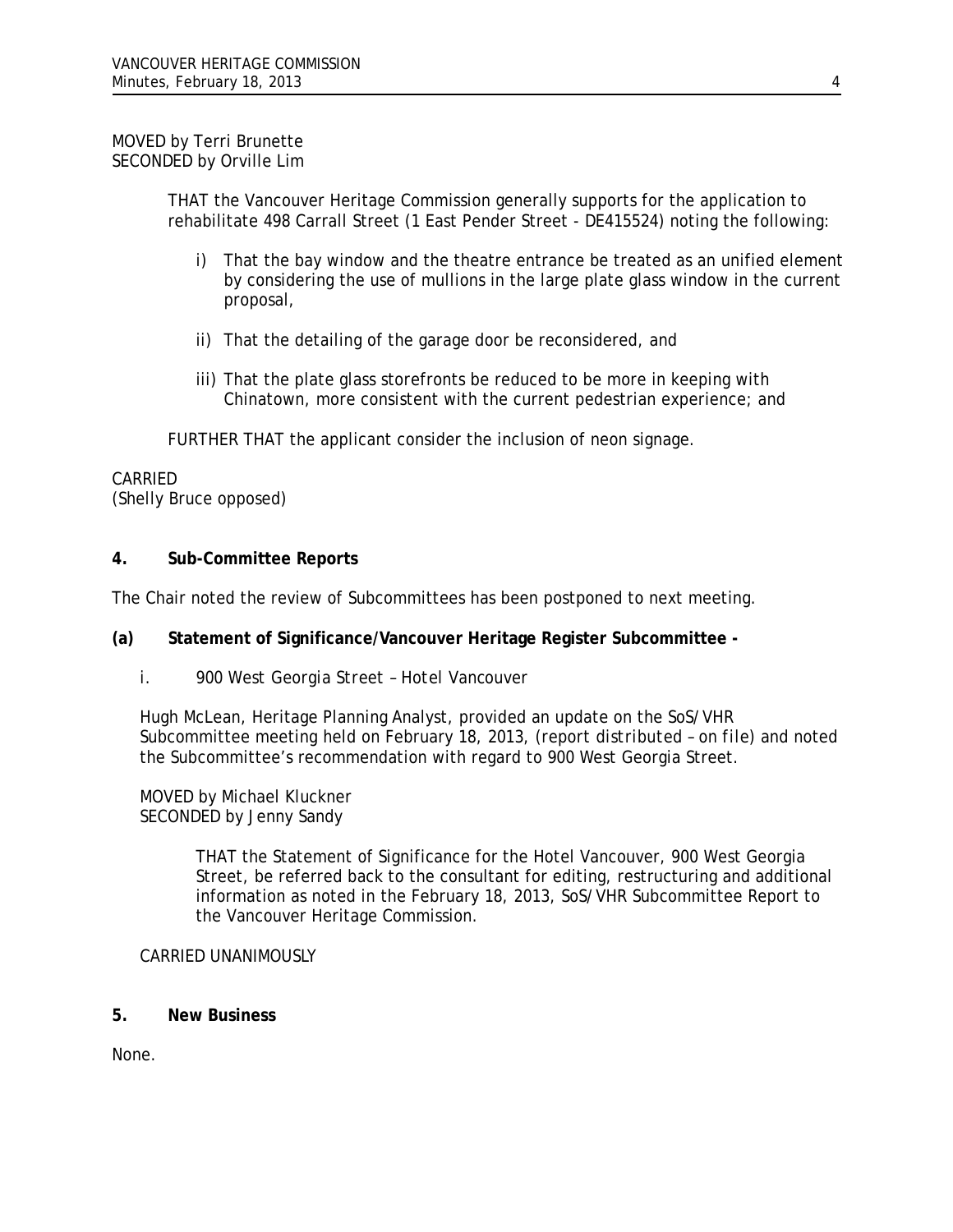# MOVED by Terri Brunette SECONDED by Orville Lim

THAT the Vancouver Heritage Commission generally supports for the application to rehabilitate 498 Carrall Street (1 East Pender Street - DE415524) noting the following:

- i) That the bay window and the theatre entrance be treated as an unified element by considering the use of mullions in the large plate glass window in the current proposal,
- ii) That the detailing of the garage door be reconsidered, and
- iii) That the plate glass storefronts be reduced to be more in keeping with Chinatown, more consistent with the current pedestrian experience; and

FURTHER THAT the applicant consider the inclusion of neon signage.

# CARRIED (Shelly Bruce opposed)

# **4. Sub-Committee Reports**

The Chair noted the review of Subcommittees has been postponed to next meeting.

#### **(a) Statement of Significance/Vancouver Heritage Register Subcommittee -**

*i. 900 West Georgia Street – Hotel Vancouver*

Hugh McLean, Heritage Planning Analyst, provided an update on the SoS/VHR Subcommittee meeting held on February 18, 2013, *(report distributed – on file)* and noted the Subcommittee's recommendation with regard to 900 West Georgia Street.

MOVED by Michael Kluckner SECONDED by Jenny Sandy

> THAT the Statement of Significance for the Hotel Vancouver, 900 West Georgia Street, be referred back to the consultant for editing, restructuring and additional information as noted in the February 18, 2013, SoS/VHR Subcommittee Report to the Vancouver Heritage Commission.

#### CARRIED UNANIMOUSLY

**5. New Business** 

None.